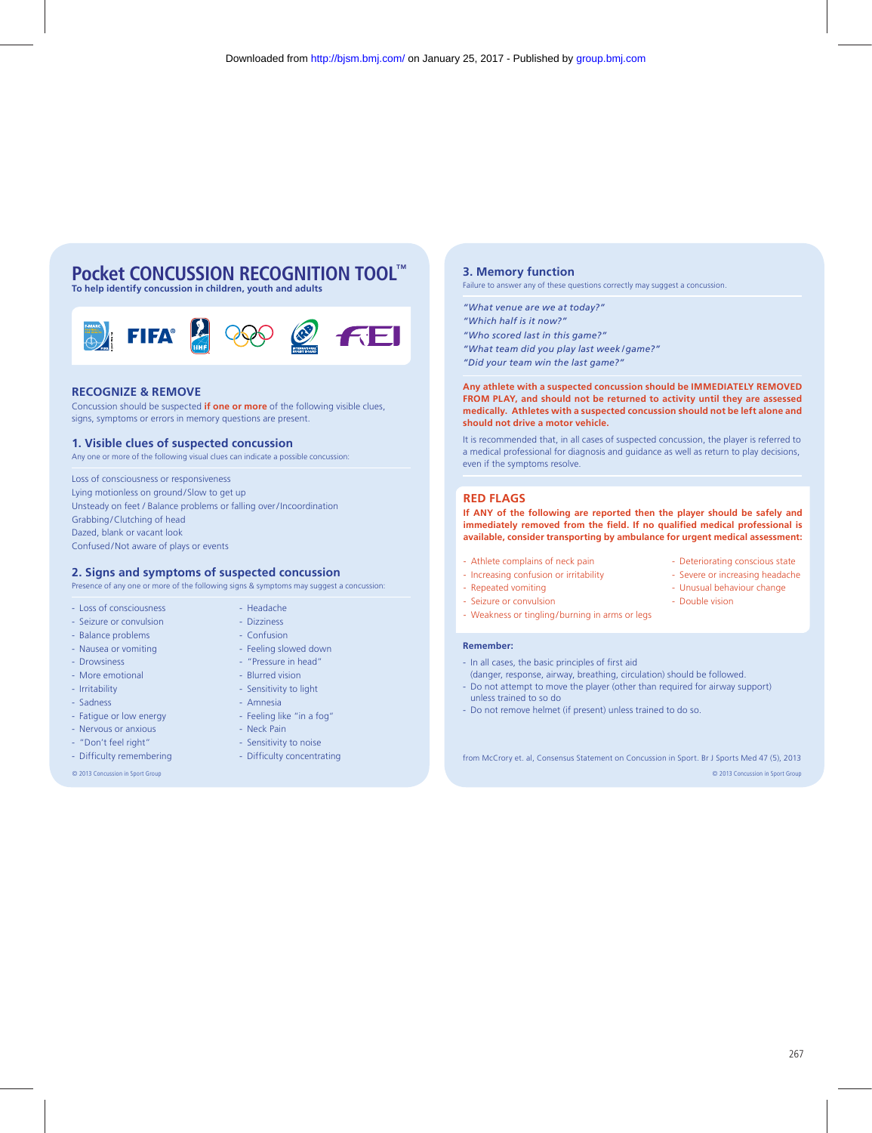# **Pocket CONCUSSION RECOGNITION TOOL™**

**To help identify concussion in children, youth and adults**



## **RECOGNIZE & REMOVE**

Concussion should be suspected **if one or more** of the following visible clues, signs, symptoms or errors in memory questions are present.

### **1. Visible clues of suspected concussion**

Any one or more of the following visual clues can indicate a possible concussion:

Loss of consciousness or responsiveness Lying motionless on ground/Slow to get up Unsteady on feet / Balance problems or falling over / Incoordination Grabbing/Clutching of head Dazed, blank or vacant look Confused/Not aware of plays or events

### **2. Signs and symptoms of suspected concussion**

Presence of any one or more of the following signs & symptoms may suggest a concussion:

- Loss of consciousness - Headache

- Seizure or convulsion Dizziness
- Balance problems Confusion
- Nausea or vomiting Feeling slowed down
- Drowsiness "Pressure in head"
- More emotional Blurred vision
- Irritability Sensitivity to light
- Sadness Amnesia
- Fatigue or low energy Feeling like "in a fog"
- Nervous or anxious Neck Pain
- "Don't feel right" Sensitivity to noise
- Difficulty remembering Difficulty concentrating
- 

## **3. Memory function**

Failure to answer any of these questions correctly may suggest a concussion.

- *"What venue are we at today?"*
- *"Which half is it now?"*
- *"Who scored last in this game?"*
- *"What team did you play last week / game?"*
- *"Did your team win the last game?"*

**Any athlete with a suspected concussion should be IMMEDIATELY REMOVED FROM PLAY, and should not be returned to activity until they are assessed medically. Athletes with a suspected concussion should not be left alone and should not drive a motor vehicle.**

It is recommended that, in all cases of suspected concussion, the player is referred to a medical professional for diagnosis and guidance as well as return to play decisions, even if the symptoms resolve.

## **RED FLAGS**

**If ANY of the following are reported then the player should be safely and immediately removed from the field. If no qualified medical professional is available, consider transporting by ambulance for urgent medical assessment:**

- Athlete complains of neck pain Deteriorating conscious state
- Increasing confusion or irritability Severe or increasing headache
- Repeated vomiting Unusual behaviour change
- Seizure or convulsion Double vision
- Weakness or tingling/burning in arms or legs

#### **Remember:**

- In all cases, the basic principles of first aid
- (danger, response, airway, breathing, circulation) should be followed. - Do not attempt to move the player (other than required for airway support)
- unless trained to so do
- Do not remove helmet (if present) unless trained to do so.

© 2013 Concussion in Sport Group © 2013 Concussion in Sport Group

from McCrory et. al, Consensus Statement on Concussion in Sport. Br J Sports Med 47 (5), 2013